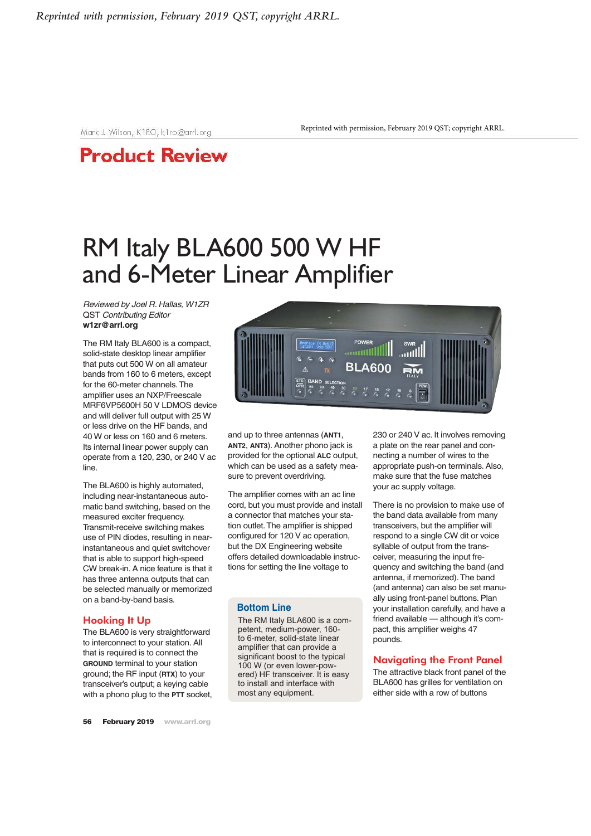Mark J. Wilson, K1RO, k1ro@arrl.org

Reprinted with permission, February 2019 QST; copyright ARRL.

## **Product Review**

# RM Italy BLA600 500 W HF and 6-Meter Linear Amplifier

*Reviewed by Joel R. Hallas, W1ZR* QST *Contributing Editor* **w1zr@arrl.org**

The RM Italy BLA600 is a compact, solid-state desktop linear amplifier that puts out 500 W on all amateur bands from 160 to 6 meters, except for the 60-meter channels. The amplifier uses an NXP/Freescale MRF6VP5600H 50 V LDMOS device and will deliver full output with 25 W or less drive on the HF bands, and 40 W or less on 160 and 6 meters. Its internal linear power supply can operate from a 120, 230, or 240 V ac line.

The BLA600 is highly automated, including near-instantaneous automatic band switching, based on the measured exciter frequency. Transmit-receive switching makes use of PIN diodes, resulting in nearinstantaneous and quiet switchover that is able to support high-speed CW break-in. A nice feature is that it has three antenna outputs that can be selected manually or memorized on a band-by-band basis.

### Hooking It Up

The BLA600 is very straightforward to interconnect to your station. All that is required is to connect the **GROUND** terminal to your station ground; the RF input (**RTX**) to your transceiver's output; a keying cable with a phono plug to the **PTT** socket,



and up to three antennas (**ANT1**, **ANT2**, **ANT3**). Another phono jack is provided for the optional **ALC** output, which can be used as a safety measure to prevent overdriving.

The amplifier comes with an ac line cord, but you must provide and install a connector that matches your station outlet. The amplifier is shipped configured for 120 V ac operation, but the DX Engineering website offers detailed downloadable instructions for setting the line voltage to

### **Bottom Line**

The RM Italy BLA600 is a competent, medium-power, 160 to 6-meter, solid-state linear amplifier that can provide a significant boost to the typical 100 W (or even lower-powered) HF transceiver. It is easy to install and interface with most any equipment.

230 or 240 V ac. It involves removing a plate on the rear panel and connecting a number of wires to the appropriate push-on terminals. Also, make sure that the fuse matches your ac supply voltage.

There is no provision to make use of the band data available from many transceivers, but the amplifier will respond to a single CW dit or voice syllable of output from the transceiver, measuring the input frequency and switching the band (and antenna, if memorized). The band (and antenna) can also be set manually using front-panel buttons. Plan your installation carefully, and have a friend available — although it's compact, this amplifier weighs 47 pounds.

### Navigating the Front Panel

The attractive black front panel of the BLA600 has grilles for ventilation on either side with a row of buttons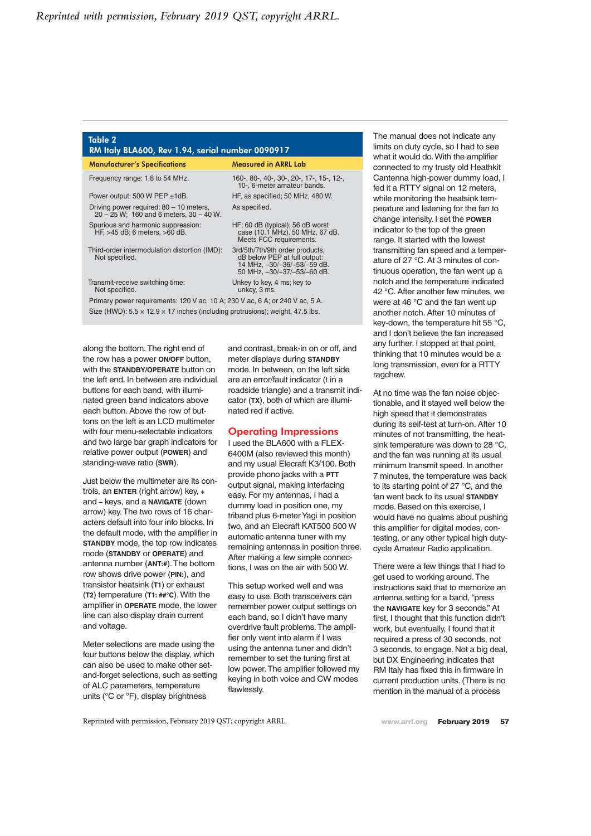#### Table 2 RM Italy BLA600, Rev 1.94, serial number 0090917

| <b>Manufacturer's Specifications</b>                                                      | <b>Measured in ARRL Lab</b>                                                                                                   |
|-------------------------------------------------------------------------------------------|-------------------------------------------------------------------------------------------------------------------------------|
| Frequency range: 1.8 to 54 MHz.                                                           | 160-, 80-, 40-, 30-, 20-, 17-, 15-, 12-,<br>10-, 6-meter amateur bands.                                                       |
| Power output: 500 W PEP $\pm$ 1dB.                                                        | HF, as specified; 50 MHz, 480 W.                                                                                              |
| Driving power required: $80 - 10$ meters,<br>$20 - 25$ W; 160 and 6 meters, $30 - 40$ W.  | As specified.                                                                                                                 |
| Spurious and harmonic suppression:<br>HF, >45 dB; 6 meters, >60 dB.                       | HF: 60 dB (typical); 56 dB worst<br>case (10.1 MHz). 50 MHz, 67 dB.<br>Meets FCC requirements.                                |
| Third-order intermodulation distortion (IMD):<br>Not specified.                           | 3rd/5th/7th/9th order products,<br>dB below PEP at full output:<br>14 MHz, -30/-36/-53/-59 dB.<br>50 MHz, -30/-37/-53/-60 dB. |
| Transmit-receive switching time:<br>Not specified.                                        | Unkey to key, 4 ms; key to<br>unkey, 3 ms.                                                                                    |
| Primary power requirements: 120 V ac, 10 A; 230 V ac, 6 A; or 240 V ac, 5 A.              |                                                                                                                               |
| Size (HWD): $5.5 \times 12.9 \times 17$ inches (including protrusions); weight, 47.5 lbs. |                                                                                                                               |

along the bottom. The right end of the row has a power **ON/OFF** button, with the **STANDBY/OPERATE** button on the left end. In between are individual buttons for each band, with illuminated green band indicators above each button. Above the row of buttons on the left is an LCD multimeter with four menu-selectable indicators and two large bar graph indicators for relative power output (**POWER**) and standing-wave ratio (**SWR**).

Just below the multimeter are its controls, an **ENTER** (right arrow) key, **+** and **–** keys, and a **NAVIGATE** (down arrow) key. The two rows of 16 characters default into four info blocks. In the default mode, with the amplifier in **STANDBY** mode, the top row indicates mode (**STANDBY** or **OPERATE**) and antenna number (**ANT:#**). The bottom row shows drive power (**PIN:**), and transistor heatsink (**T1**) or exhaust (**T2**) temperature (**T1: ##°C**). With the amplifier in **OPERATE** mode, the lower line can also display drain current and voltage.

Meter selections are made using the four buttons below the display, which can also be used to make other setand-forget selections, such as setting of ALC parameters, temperature units (°C or °F), display brightness

and contrast, break-in on or off, and meter displays during **STANDBY** mode. In between, on the left side are an error/fault indicator (**!** in a roadside triangle) and a transmit indicator (**TX**), both of which are illuminated red if active.

### Operating Impressions

I used the BLA600 with a FLEX-6400M (also reviewed this month) and my usual Elecraft K3/100. Both provide phono jacks with a **PTT** output signal, making interfacing easy. For my antennas, I had a dummy load in position one, my triband plus 6-meter Yagi in position two, and an Elecraft KAT500 500 W automatic antenna tuner with my remaining antennas in position three. After making a few simple connections, I was on the air with 500 W.

This setup worked well and was easy to use. Both transceivers can remember power output settings on each band, so I didn't have many overdrive fault problems. The amplifier only went into alarm if I was using the antenna tuner and didn't remember to set the tuning first at low power. The amplifier followed my keying in both voice and CW modes flawlessly.

The manual does not indicate any limits on duty cycle, so I had to see what it would do. With the amplifier connected to my trusty old Heathkit Cantenna high-power dummy load, I fed it a RTTY signal on 12 meters, while monitoring the heatsink temperature and listening for the fan to change intensity. I set the **POWER** indicator to the top of the green range. It started with the lowest transmitting fan speed and a temperature of 27 °C. At 3 minutes of continuous operation, the fan went up a notch and the temperature indicated 42 °C. After another few minutes, we were at 46 °C and the fan went up another notch. After 10 minutes of key-down, the temperature hit 55 °C, and I don't believe the fan increased any further. I stopped at that point, thinking that 10 minutes would be a long transmission, even for a RTTY ragchew.

At no time was the fan noise objectionable, and it stayed well below the high speed that it demonstrates during its self-test at turn-on. After 10 minutes of not transmitting, the heatsink temperature was down to 28 °C, and the fan was running at its usual minimum transmit speed. In another 7 minutes, the temperature was back to its starting point of 27 °C, and the fan went back to its usual **STANDBY** mode. Based on this exercise, I would have no qualms about pushing this amplifier for digital modes, contesting, or any other typical high dutycycle Amateur Radio application.

There were a few things that I had to get used to working around. The instructions said that to memorize an antenna setting for a band, "press the **NAVIGATE** key for 3 seconds." At first, I thought that this function didn't work, but eventually, I found that it required a press of 30 seconds, not 3 seconds, to engage. Not a big deal, but DX Engineering indicates that RM Italy has fixed this in firmware in current production units. (There is no mention in the manual of a process

Reprinted with permission, February 2019 QST; copyright ARRL.